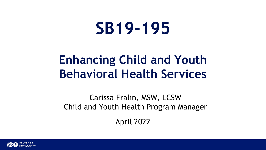# **SB19-195**

### **Enhancing Child and Youth Behavioral Health Services**

Carissa Fralin, MSW, LCSW Child and Youth Health Program Manager

April 2022

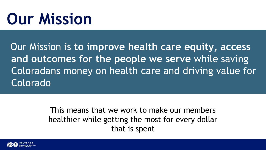# **Our Mission**

Our Mission is **to improve health care equity, access and outcomes for the people we serve** while saving Coloradans money on health care and driving value for Colorado

> This means that we work to make our members healthier while getting the most for every dollar that is spent

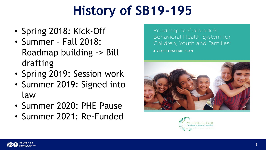## **History of SB19-195**

- Spring 2018: Kick-Off
- Summer Fall 2018: Roadmap building -> Bill drafting
- Spring 2019: Session work
- Summer 2019: Signed into law
- Summer 2020: PHE Pause
- Summer 2021: Re-Funded

Roadmap to Colorado's Behavioral Health System for Children, Youth and Families: **4-YEAR STRATEGIC PLAN** 



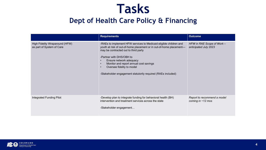#### **Tasks**

#### **Dept of Health Care Policy & Financing**

|                                                             | <b>Requirements</b>                                                                                                                                                                                                                                                                                                                                                                         | <b>Outcome</b>                                      |
|-------------------------------------------------------------|---------------------------------------------------------------------------------------------------------------------------------------------------------------------------------------------------------------------------------------------------------------------------------------------------------------------------------------------------------------------------------------------|-----------------------------------------------------|
| High Fidelity Wraparound (HFW)<br>as part of System of Care | -RAEs to implement HFW services to Medicaid eligible children and<br>youth at risk of out-of-home placement or in out-of-home placement-<br>may be contracted out to third party<br>-Partner with DHS/OBH to<br>Ensure network adequacy<br>Monitor and report annual cost savings<br>$\bullet$<br>Oversee fidelity to model<br>-Stakeholder engagement statutorily required (RAEs included) | HFW in RAE Scope of Work -<br>anticipated July 2023 |
| Integrated Funding Pilot                                    | -Develop plan to integrate funding for behavioral health (BH)<br>intervention and treatment services across the state<br>-Stakeholder engagement                                                                                                                                                                                                                                            | Report to recommend a model<br>coming in $~12$ mos  |

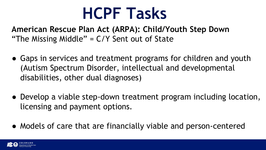## **HCPF Tasks**

**American Rescue Plan Act (ARPA): Child/Youth Step Down**  "The Missing Middle" = C/Y Sent out of State

- Gaps in services and treatment programs for children and youth (Autism Spectrum Disorder, intellectual and developmental disabilities, other dual diagnoses)
- Develop a viable step-down treatment program including location, licensing and payment options.
- Models of care that are financially viable and person-centered

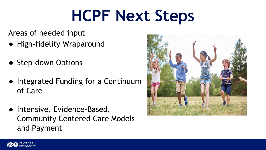# **HCPF Next Steps**

Areas of needed input

- High-fidelity Wraparound
- Step-down Options
- Integrated Funding for a Continuum of Care
- Intensive, Evidence-Based, Community Centered Care Models and Payment



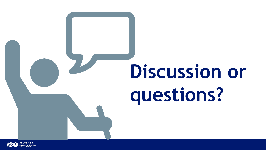## **Discussion or questions? 7**